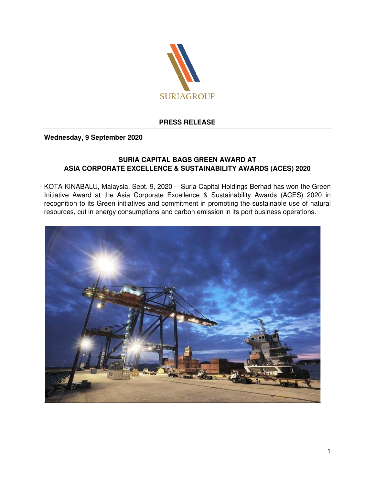

## **PRESS RELEASE**

## **Wednesday, 9 September 2020**

## **SURIA CAPITAL BAGS GREEN AWARD AT ASIA CORPORATE EXCELLENCE & SUSTAINABILITY AWARDS (ACES) 2020**

KOTA KINABALU, Malaysia, Sept. 9, 2020 -- Suria Capital Holdings Berhad has won the Green Initiative Award at the Asia Corporate Excellence & Sustainability Awards (ACES) 2020 in recognition to its Green initiatives and commitment in promoting the sustainable use of natural resources, cut in energy consumptions and carbon emission in its port business operations.